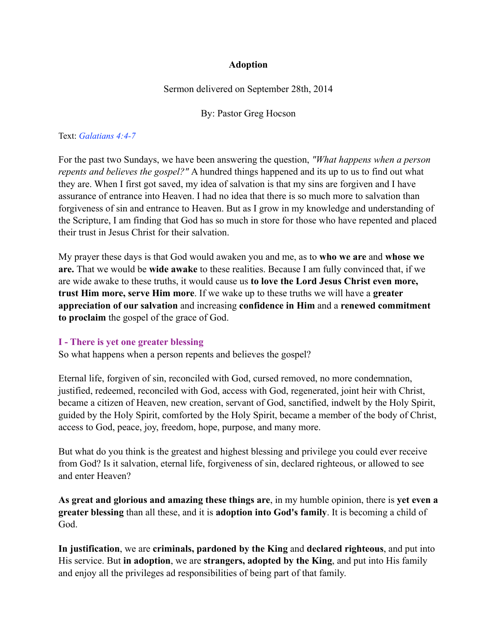## **Adoption**

Sermon delivered on September 28th, 2014

By: Pastor Greg Hocson

#### Text: *Galatians 4:4-7*

For the past two Sundays, we have been answering the question, *"What happens when a person repents and believes the gospel?"* A hundred things happened and its up to us to find out what they are. When I first got saved, my idea of salvation is that my sins are forgiven and I have assurance of entrance into Heaven. I had no idea that there is so much more to salvation than forgiveness of sin and entrance to Heaven. But as I grow in my knowledge and understanding of the Scripture, I am finding that God has so much in store for those who have repented and placed their trust in Jesus Christ for their salvation.

My prayer these days is that God would awaken you and me, as to **who we are** and **whose we are.** That we would be **wide awake** to these realities. Because I am fully convinced that, if we are wide awake to these truths, it would cause us **to love the Lord Jesus Christ even more, trust Him more, serve Him more**. If we wake up to these truths we will have a **greater appreciation of our salvation** and increasing **confidence in Him** and a **renewed commitment to proclaim** the gospel of the grace of God.

#### **I - There is yet one greater blessing**

So what happens when a person repents and believes the gospel?

Eternal life, forgiven of sin, reconciled with God, cursed removed, no more condemnation, justified, redeemed, reconciled with God, access with God, regenerated, joint heir with Christ, became a citizen of Heaven, new creation, servant of God, sanctified, indwelt by the Holy Spirit, guided by the Holy Spirit, comforted by the Holy Spirit, became a member of the body of Christ, access to God, peace, joy, freedom, hope, purpose, and many more.

But what do you think is the greatest and highest blessing and privilege you could ever receive from God? Is it salvation, eternal life, forgiveness of sin, declared righteous, or allowed to see and enter Heaven?

**As great and glorious and amazing these things are**, in my humble opinion, there is **yet even a greater blessing** than all these, and it is **adoption into God's family**. It is becoming a child of God.

**In justification**, we are **criminals, pardoned by the King** and **declared righteous**, and put into His service. But **in adoption**, we are **strangers, adopted by the King**, and put into His family and enjoy all the privileges ad responsibilities of being part of that family.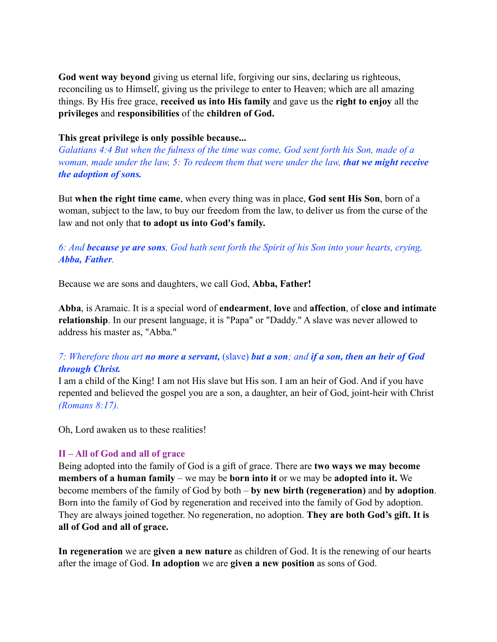**God went way beyond** giving us eternal life, forgiving our sins, declaring us righteous, reconciling us to Himself, giving us the privilege to enter to Heaven; which are all amazing things. By His free grace, **received us into His family** and gave us the **right to enjoy** all the **privileges** and **responsibilities** of the **children of God.**

## **This great privilege is only possible because...**

*Galatians 4:4 But when the fulness of the time was come, God sent forth his Son, made of a woman, made under the law, 5: To redeem them that were under the law, <i>that we might receive the adoption of sons.*

But **when the right time came**, when every thing was in place, **God sent His Son**, born of a woman, subject to the law, to buy our freedom from the law, to deliver us from the curse of the law and not only that **to adopt us into God's family.**

*6: And because ye are sons, God hath sent forth the Spirit of his Son into your hearts, crying, Abba, Father.*

Because we are sons and daughters, we call God, **Abba, Father!**

**Abba**, is Aramaic. It is a special word of **endearment**, **love** and **affection**, of **close and intimate relationship**. In our present language, it is "Papa" or "Daddy." A slave was never allowed to address his master as, "Abba."

# *7: Wherefore thou art no more a servant,* (slave) *but a son; and if a son, then an heir of God through Christ.*

I am a child of the King! I am not His slave but His son. I am an heir of God. And if you have repented and believed the gospel you are a son, a daughter, an heir of God, joint-heir with Christ *(Romans 8:17).*

Oh, Lord awaken us to these realities!

# **II – All of God and all of grace**

Being adopted into the family of God is a gift of grace. There are **two ways we may become members of a human family** – we may be **born into it** or we may be **adopted into it.** We become members of the family of God by both – **by new birth (regeneration)** and **by adoption**. Born into the family of God by regeneration and received into the family of God by adoption. They are always joined together. No regeneration, no adoption. **They are both God's gift. It is all of God and all of grace.**

**In regeneration** we are **given a new nature** as children of God. It is the renewing of our hearts after the image of God. **In adoption** we are **given a new position** as sons of God.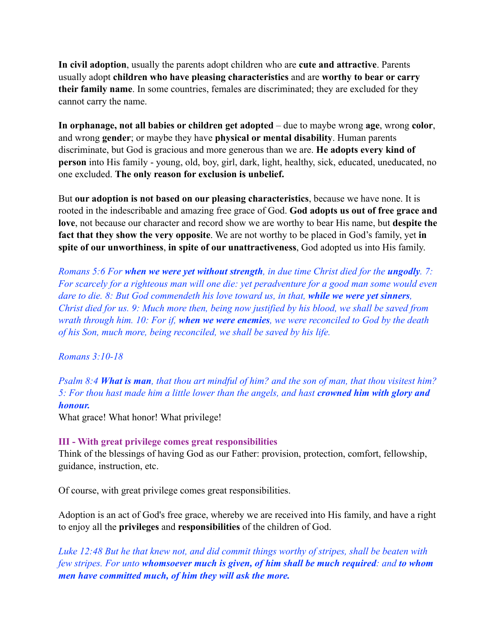**In civil adoption**, usually the parents adopt children who are **cute and attractive**. Parents usually adopt **children who have pleasing characteristics** and are **worthy to bear or carry their family name**. In some countries, females are discriminated; they are excluded for they cannot carry the name.

**In orphanage, not all babies or children get adopted** – due to maybe wrong **age**, wrong **color**, and wrong **gender**; or maybe they have **physical or mental disability**. Human parents discriminate, but God is gracious and more generous than we are. **He adopts every kind of person** into His family - young, old, boy, girl, dark, light, healthy, sick, educated, uneducated, no one excluded. **The only reason for exclusion is unbelief.**

But **our adoption is not based on our pleasing characteristics**, because we have none. It is rooted in the indescribable and amazing free grace of God. **God adopts us out of free grace and love**, not because our character and record show we are worthy to bear His name, but **despite the fact that they show the very opposite**. We are not worthy to be placed in God's family, yet **in spite of our unworthiness**, **in spite of our unattractiveness**, God adopted us into His family.

*Romans 5:6 For when we were yet without strength, in due time Christ died for the ungodly. 7: For scarcely for a righteous man will one die: yet peradventure for a good man some would even dare to die. 8: But God commendeth his love toward us, in that, while we were yet sinners, Christ died for us. 9: Much more then, being now justified by his blood, we shall be saved from wrath through him. 10: For if, when we were enemies, we were reconciled to God by the death of his Son, much more, being reconciled, we shall be saved by his life.* 

#### *Romans 3:10-18*

*Psalm 8:4 What is man, that thou art mindful of him? and the son of man, that thou visitest him? 5: For thou hast made him a little lower than the angels, and hast crowned him with glory and honour.*

What grace! What honor! What privilege!

#### **III - With great privilege comes great responsibilities**

Think of the blessings of having God as our Father: provision, protection, comfort, fellowship, guidance, instruction, etc.

Of course, with great privilege comes great responsibilities.

Adoption is an act of God's free grace, whereby we are received into His family, and have a right to enjoy all the **privileges** and **responsibilities** of the children of God.

*Luke 12:48 But he that knew not, and did commit things worthy of stripes, shall be beaten with few stripes. For unto whomsoever much is given, of him shall be much required: and to whom men have committed much, of him they will ask the more.*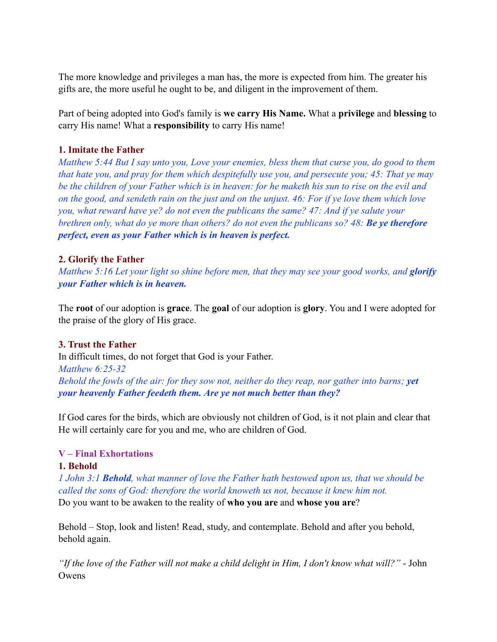The more knowledge and privileges a man has, the more is expected from him. The greater his gifts are, the more useful he ought to be, and diligent in the improvement of them.

Part of being adopted into God's family is **we carry His Name.** What a **privilege** and **blessing** to carry His name! What a **responsibility** to carry His name!

## **1. Imitate the Father**

*Matthew 5:44 But I say unto you, Love your enemies, bless them that curse you, do good to them that hate you, and pray for them which despitefully use you, and persecute you; 45: That ye may be the children of your Father which is in heaven: for he maketh his sun to rise on the evil and on the good, and sendeth rain on the just and on the unjust. 46: For if ye love them which love you, what reward have ye? do not even the publicans the same? 47: And if ye salute your brethren only, what do ye more than others? do not even the publicans so? 48: Be ye therefore perfect, even as your Father which is in heaven is perfect.*

## **2. Glorify the Father**

*Matthew 5:16 Let your light so shine before men, that they may see your good works, and glorify your Father which is in heaven.*

The **root** of our adoption is **grace**. The **goal** of our adoption is **glory**. You and I were adopted for the praise of the glory of His grace.

# **3. Trust the Father**

In difficult times, do not forget that God is your Father. *Matthew 6:25-32 Behold the fowls of the air: for they sow not, neither do they reap, nor gather into barns; yet your heavenly Father feedeth them. Are ye not much better than they?*

If God cares for the birds, which are obviously not children of God, is it not plain and clear that He will certainly care for you and me, who are children of God.

#### **V – Final Exhortations**

#### **1. Behold**

*1 John 3:1 Behold, what manner of love the Father hath bestowed upon us, that we should be called the sons of God: therefore the world knoweth us not, because it knew him not.*

Do you want to be awaken to the reality of **who you are** and **whose you are**?

Behold – Stop, look and listen! Read, study, and contemplate. Behold and after you behold, behold again.

*"If the love of the Father will not make a child delight in Him, I don't know what will?"* - John **Owens**